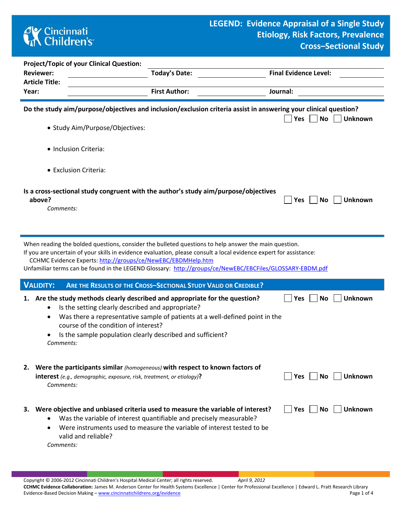## **CK** Cincinnati<br> **Children's**

D

|                       | <b>Project/Topic of your Clinical Question:</b>                                                                                                                                        |                                                                                                                                                                                                                                                                                                                                        |                                    |
|-----------------------|----------------------------------------------------------------------------------------------------------------------------------------------------------------------------------------|----------------------------------------------------------------------------------------------------------------------------------------------------------------------------------------------------------------------------------------------------------------------------------------------------------------------------------------|------------------------------------|
| <b>Reviewer:</b>      |                                                                                                                                                                                        | Today's Date:                                                                                                                                                                                                                                                                                                                          | <b>Final Evidence Level:</b>       |
| <b>Article Title:</b> |                                                                                                                                                                                        |                                                                                                                                                                                                                                                                                                                                        |                                    |
| Year:                 |                                                                                                                                                                                        | <b>First Author:</b>                                                                                                                                                                                                                                                                                                                   | Journal:                           |
|                       | • Study Aim/Purpose/Objectives:                                                                                                                                                        | Do the study aim/purpose/objectives and inclusion/exclusion criteria assist in answering your clinical question?                                                                                                                                                                                                                       | <b>No</b><br><b>Unknown</b><br>Yes |
|                       | • Inclusion Criteria:                                                                                                                                                                  |                                                                                                                                                                                                                                                                                                                                        |                                    |
|                       | • Exclusion Criteria:                                                                                                                                                                  |                                                                                                                                                                                                                                                                                                                                        |                                    |
| above?                | Comments:                                                                                                                                                                              | Is a cross-sectional study congruent with the author's study aim/purpose/objectives                                                                                                                                                                                                                                                    | No<br><b>Unknown</b><br><b>Yes</b> |
|                       | CCHMC Evidence Experts: http://groups/ce/NewEBC/EBDMHelp.htm                                                                                                                           | When reading the bolded questions, consider the bulleted questions to help answer the main question.<br>If you are uncertain of your skills in evidence evaluation, please consult a local evidence expert for assistance:<br>Unfamiliar terms can be found in the LEGEND Glossary: http://groups/ce/NewEBC/EBCFiles/GLOSSARY-EBDM.pdf |                                    |
| <b>VALIDITY:</b>      |                                                                                                                                                                                        | ARE THE RESULTS OF THE CROSS-SECTIONAL STUDY VALID OR CREDIBLE?                                                                                                                                                                                                                                                                        |                                    |
| 1.                    | Is the setting clearly described and appropriate?<br>٠<br>$\bullet$<br>course of the condition of interest?<br>Is the sample population clearly described and sufficient?<br>Comments: | Are the study methods clearly described and appropriate for the question?<br>Was there a representative sample of patients at a well-defined point in the                                                                                                                                                                              | <b>Unknown</b><br>No<br>Yes        |
|                       | <b>interest</b> (e.g., demographic, exposure, risk, treatment, or etiology)?<br>Comments:                                                                                              | 2. Were the participants similar (homogeneous) with respect to known factors of                                                                                                                                                                                                                                                        | <b>Unknown</b><br>Yes    <br>No.   |
|                       | $\bullet$<br>٠<br>valid and reliable?<br>Comments:                                                                                                                                     | 3. Were objective and unbiased criteria used to measure the variable of interest?<br>Was the variable of interest quantifiable and precisely measurable?<br>Were instruments used to measure the variable of interest tested to be                                                                                                     | Yes    <br>No.<br>Unknown          |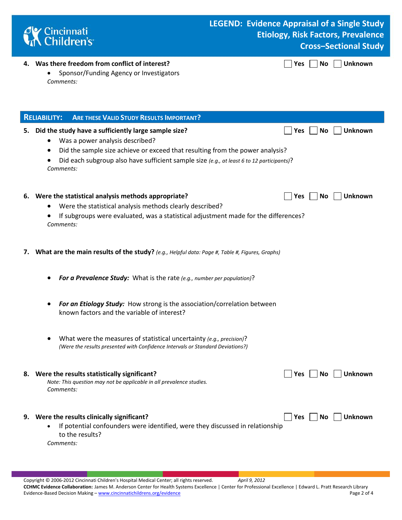

## **LEGEND: Evidence Appraisal of a Single Study Etiology, Risk Factors, Prevalence Cross–Sectional Study**

 $\Box$  Yes  $\Box$  No  $\Box$  Unknown

|  | 4. Was there freedom from conflict of interest? |  |  |  |  |  |  |
|--|-------------------------------------------------|--|--|--|--|--|--|
|--|-------------------------------------------------|--|--|--|--|--|--|

• Sponsor/Funding Agency or Investigators *Comments:* 

|    | <b>ARE THESE VALID STUDY RESULTS IMPORTANT?</b><br><b>RELIABILITY:</b>                                                                                                                                                                                                                                                   |
|----|--------------------------------------------------------------------------------------------------------------------------------------------------------------------------------------------------------------------------------------------------------------------------------------------------------------------------|
| 5. | Did the study have a sufficiently large sample size?<br><b>Unknown</b><br><b>No</b><br>Yes<br>Was a power analysis described?<br>Did the sample size achieve or exceed that resulting from the power analysis?<br>Did each subgroup also have sufficient sample size (e.g., at least 6 to 12 participants)?<br>Comments: |
|    | 6. Were the statistical analysis methods appropriate?<br><b>No</b><br><b>Unknown</b><br>Yes<br>Were the statistical analysis methods clearly described?<br>If subgroups were evaluated, was a statistical adjustment made for the differences?<br>Comments:                                                              |
| 7. | What are the main results of the study? (e.g., Helpful data: Page #, Table #, Figures, Graphs)                                                                                                                                                                                                                           |
|    | For a Prevalence Study: What is the rate (e.g., number per population)?                                                                                                                                                                                                                                                  |
|    | For an Etiology Study: How strong is the association/correlation between<br>known factors and the variable of interest?                                                                                                                                                                                                  |
|    | What were the measures of statistical uncertainty (e.g., precision)?<br>(Were the results presented with Confidence Intervals or Standard Deviations?)                                                                                                                                                                   |
|    | 8. Were the results statistically significant?<br>Unknown<br><b>Yes</b><br>No<br>Note: This question may not be applicable in all prevalence studies.<br>Comments:                                                                                                                                                       |
|    | <b>Unknown</b><br>9. Were the results clinically significant?<br>Yes<br>No<br>If potential confounders were identified, were they discussed in relationship<br>to the results?<br>Comments:                                                                                                                              |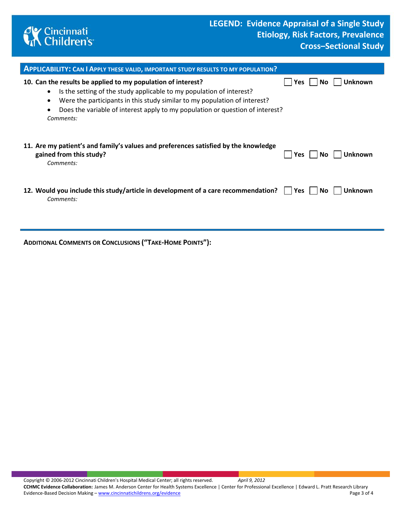

| <b>APPLICABILITY: CAN I APPLY THESE VALID, IMPORTANT STUDY RESULTS TO MY POPULATION?</b>                                                                                                                                                                                                                                                               |                               |
|--------------------------------------------------------------------------------------------------------------------------------------------------------------------------------------------------------------------------------------------------------------------------------------------------------------------------------------------------------|-------------------------------|
| 10. Can the results be applied to my population of interest?<br>Is the setting of the study applicable to my population of interest?<br>$\bullet$<br>Were the participants in this study similar to my population of interest?<br>$\bullet$<br>Does the variable of interest apply to my population or question of interest?<br>$\bullet$<br>Comments: | Unknown<br>Yes<br>No.         |
| 11. Are my patient's and family's values and preferences satisfied by the knowledge<br>gained from this study?<br>Comments:                                                                                                                                                                                                                            | <b>Unknown</b><br>Yes<br>No l |
| 12. Would you include this study/article in development of a care recommendation?    <br>Comments:                                                                                                                                                                                                                                                     | No.<br>Unknown<br>Yes         |

**ADDITIONAL COMMENTS OR CONCLUSIONS ("TAKE-HOME POINTS"):**